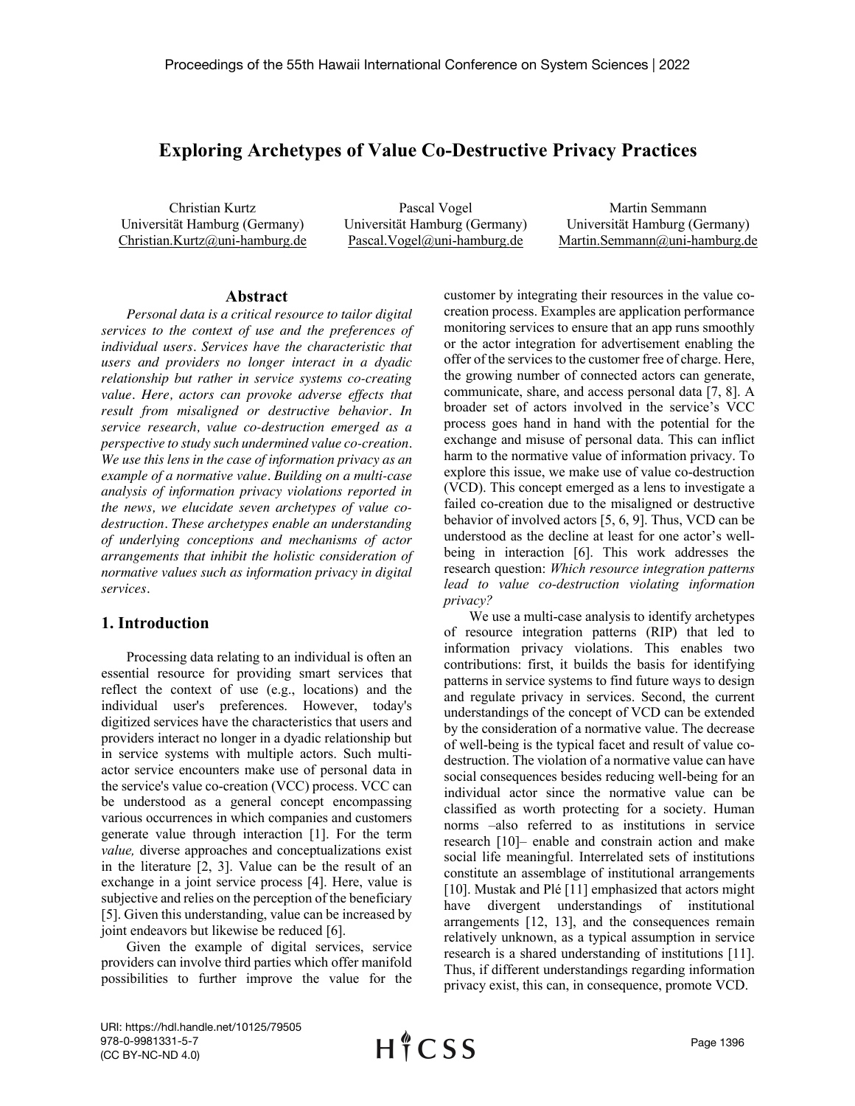# **Exploring Archetypes of Value Co-Destructive Privacy Practices**

Christian Kurtz Universität Hamburg (Germany) Christian.Kurtz@uni-hamburg.de

Pascal Vogel Universität Hamburg (Germany) Pascal.Vogel@uni-hamburg.de

Martin Semmann Universität Hamburg (Germany) Martin.Semmann@uni-hamburg.de

### **Abstract**

*Personal data is a critical resource to tailor digital services to the context of use and the preferences of individual users. Services have the characteristic that users and providers no longer interact in a dyadic relationship but rather in service systems co-creating value. Here, actors can provoke adverse effects that result from misaligned or destructive behavior. In service research, value co-destruction emerged as a perspective to study such undermined value co-creation. We use this lens in the case of information privacy as an example of a normative value. Building on a multi-case analysis of information privacy violations reported in the news, we elucidate seven archetypes of value codestruction. These archetypes enable an understanding of underlying conceptions and mechanisms of actor arrangements that inhibit the holistic consideration of normative values such as information privacy in digital services.*

### **1. Introduction**

Processing data relating to an individual is often an essential resource for providing smart services that reflect the context of use (e.g., locations) and the individual user's preferences. However, today's digitized services have the characteristics that users and providers interact no longer in a dyadic relationship but in service systems with multiple actors. Such multiactor service encounters make use of personal data in the service's value co-creation (VCC) process. VCC can be understood as a general concept encompassing various occurrences in which companies and customers generate value through interaction [1]. For the term *value,* diverse approaches and conceptualizations exist in the literature [2, 3]. Value can be the result of an exchange in a joint service process [4]. Here, value is subjective and relies on the perception of the beneficiary [5]. Given this understanding, value can be increased by joint endeavors but likewise be reduced [6].

Given the example of digital services, service providers can involve third parties which offer manifold possibilities to further improve the value for the

customer by integrating their resources in the value cocreation process. Examples are application performance monitoring services to ensure that an app runs smoothly or the actor integration for advertisement enabling the offer of the services to the customer free of charge. Here, the growing number of connected actors can generate, communicate, share, and access personal data [7, 8]. A broader set of actors involved in the service's VCC process goes hand in hand with the potential for the exchange and misuse of personal data. This can inflict harm to the normative value of information privacy. To explore this issue, we make use of value co-destruction (VCD). This concept emerged as a lens to investigate a failed co-creation due to the misaligned or destructive behavior of involved actors [5, 6, 9]. Thus, VCD can be understood as the decline at least for one actor's wellbeing in interaction [6]. This work addresses the research question: *Which resource integration patterns lead to value co-destruction violating information privacy?*

We use a multi-case analysis to identify archetypes of resource integration patterns (RIP) that led to information privacy violations. This enables two contributions: first, it builds the basis for identifying patterns in service systems to find future ways to design and regulate privacy in services. Second, the current understandings of the concept of VCD can be extended by the consideration of a normative value. The decrease of well-being is the typical facet and result of value codestruction. The violation of a normative value can have social consequences besides reducing well-being for an individual actor since the normative value can be classified as worth protecting for a society. Human norms –also referred to as institutions in service research [10]– enable and constrain action and make social life meaningful. Interrelated sets of institutions constitute an assemblage of institutional arrangements [10]. Mustak and Plé [11] emphasized that actors might have divergent understandings of institutional arrangements [12, 13], and the consequences remain relatively unknown, as a typical assumption in service research is a shared understanding of institutions [11]. Thus, if different understandings regarding information privacy exist, this can, in consequence, promote VCD.

URI: https://hdl.handle.net/10125/79505 978-0-9981331-5-7 (CC BY-NC-ND 4.0)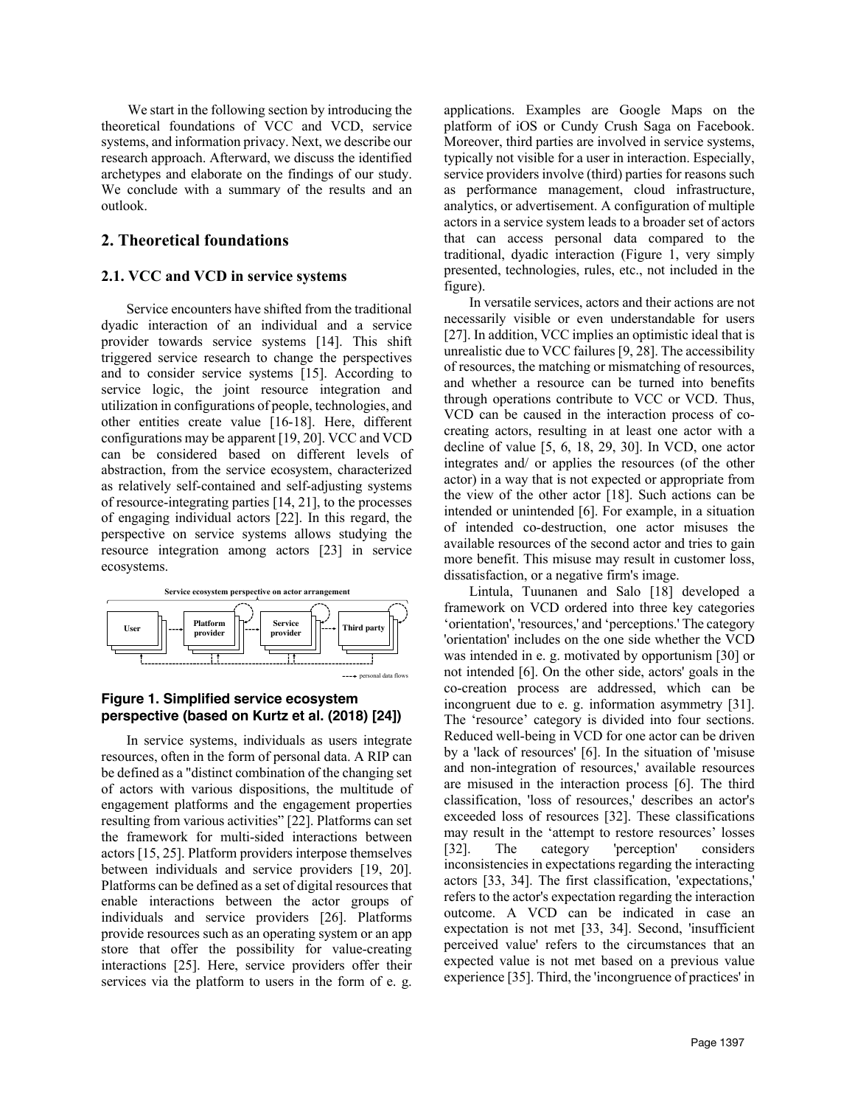We start in the following section by introducing the theoretical foundations of VCC and VCD, service systems, and information privacy. Next, we describe our research approach. Afterward, we discuss the identified archetypes and elaborate on the findings of our study. We conclude with a summary of the results and an outlook.

### **2. Theoretical foundations**

### **2.1. VCC and VCD in service systems**

Service encounters have shifted from the traditional dyadic interaction of an individual and a service provider towards service systems [14]. This shift triggered service research to change the perspectives and to consider service systems [15]. According to service logic, the joint resource integration and utilization in configurations of people, technologies, and other entities create value [16-18]. Here, different configurations may be apparent [19, 20]. VCC and VCD can be considered based on different levels of abstraction, from the service ecosystem, characterized as relatively self-contained and self-adjusting systems of resource-integrating parties [14, 21], to the processes of engaging individual actors [22]. In this regard, the perspective on service systems allows studying the resource integration among actors [23] in service ecosystems.



### **Figure 1. Simplified service ecosystem perspective (based on Kurtz et al. (2018) [24])**

In service systems, individuals as users integrate resources, often in the form of personal data. A RIP can be defined as a "distinct combination of the changing set of actors with various dispositions, the multitude of engagement platforms and the engagement properties resulting from various activities" [22]. Platforms can set the framework for multi-sided interactions between actors [15, 25]. Platform providers interpose themselves between individuals and service providers [19, 20]. Platforms can be defined as a set of digital resources that enable interactions between the actor groups of individuals and service providers [26]. Platforms provide resources such as an operating system or an app store that offer the possibility for value-creating interactions [25]. Here, service providers offer their services via the platform to users in the form of e. g.

applications. Examples are Google Maps on the platform of iOS or Cundy Crush Saga on Facebook. Moreover, third parties are involved in service systems, typically not visible for a user in interaction. Especially, service providers involve (third) parties for reasons such as performance management, cloud infrastructure, analytics, or advertisement. A configuration of multiple actors in a service system leads to a broader set of actors that can access personal data compared to the traditional, dyadic interaction (Figure 1, very simply presented, technologies, rules, etc., not included in the figure).

In versatile services, actors and their actions are not necessarily visible or even understandable for users [27]. In addition, VCC implies an optimistic ideal that is unrealistic due to VCC failures [9, 28]. The accessibility of resources, the matching or mismatching of resources, and whether a resource can be turned into benefits through operations contribute to VCC or VCD. Thus, VCD can be caused in the interaction process of cocreating actors, resulting in at least one actor with a decline of value [5, 6, 18, 29, 30]. In VCD, one actor integrates and/ or applies the resources (of the other actor) in a way that is not expected or appropriate from the view of the other actor [18]. Such actions can be intended or unintended [6]. For example, in a situation of intended co-destruction, one actor misuses the available resources of the second actor and tries to gain more benefit. This misuse may result in customer loss, dissatisfaction, or a negative firm's image.

Lintula, Tuunanen and Salo [18] developed a framework on VCD ordered into three key categories 'orientation', 'resources,' and 'perceptions.' The category 'orientation' includes on the one side whether the VCD was intended in e. g. motivated by opportunism [30] or not intended [6]. On the other side, actors' goals in the co-creation process are addressed, which can be incongruent due to e. g. information asymmetry [31]. The 'resource' category is divided into four sections. Reduced well-being in VCD for one actor can be driven by a 'lack of resources' [6]. In the situation of 'misuse and non-integration of resources,' available resources are misused in the interaction process [6]. The third classification, 'loss of resources,' describes an actor's exceeded loss of resources [32]. These classifications may result in the 'attempt to restore resources' losses [32]. The category 'perception' considers inconsistencies in expectations regarding the interacting actors [33, 34]. The first classification, 'expectations,' refers to the actor's expectation regarding the interaction outcome. A VCD can be indicated in case an expectation is not met [33, 34]. Second, 'insufficient perceived value' refers to the circumstances that an expected value is not met based on a previous value experience [35]. Third, the 'incongruence of practices' in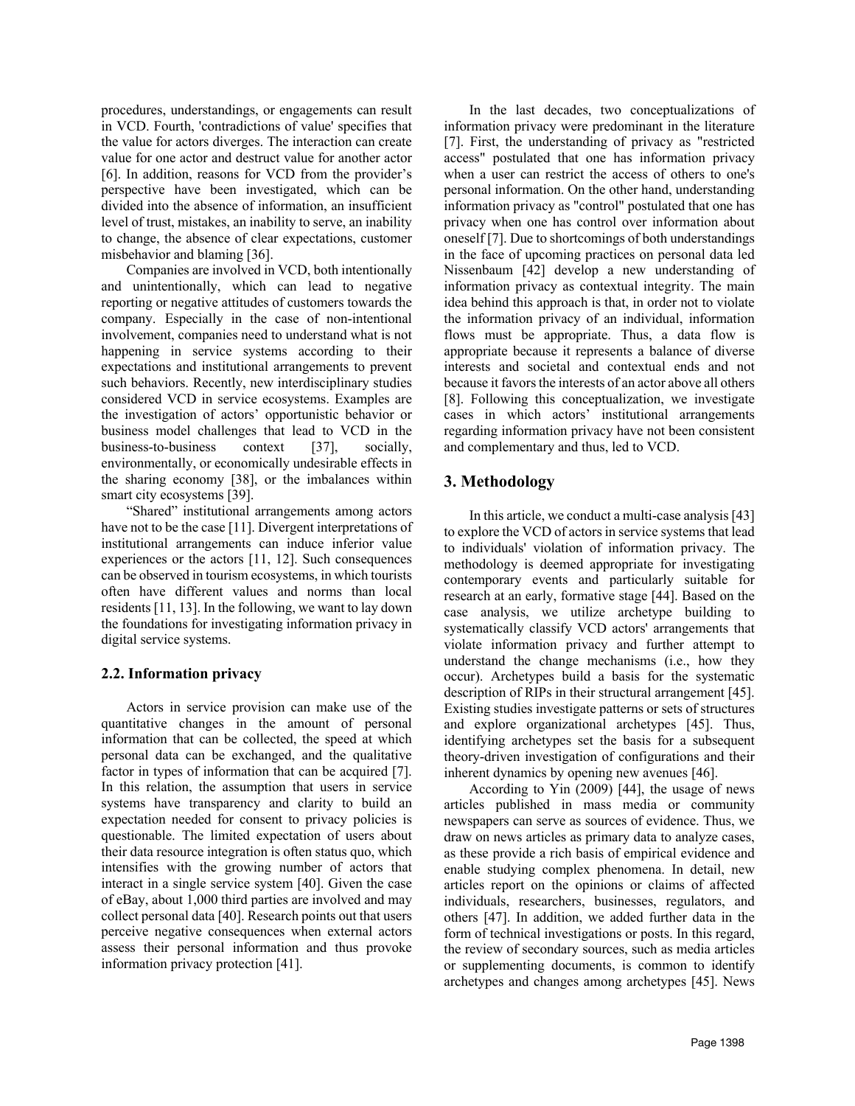procedures, understandings, or engagements can result in VCD. Fourth, 'contradictions of value' specifies that the value for actors diverges. The interaction can create value for one actor and destruct value for another actor [6]. In addition, reasons for VCD from the provider's perspective have been investigated, which can be divided into the absence of information, an insufficient level of trust, mistakes, an inability to serve, an inability to change, the absence of clear expectations, customer misbehavior and blaming [36].

Companies are involved in VCD, both intentionally and unintentionally, which can lead to negative reporting or negative attitudes of customers towards the company. Especially in the case of non-intentional involvement, companies need to understand what is not happening in service systems according to their expectations and institutional arrangements to prevent such behaviors. Recently, new interdisciplinary studies considered VCD in service ecosystems. Examples are the investigation of actors' opportunistic behavior or business model challenges that lead to VCD in the business-to-business context [37], socially, environmentally, or economically undesirable effects in the sharing economy [38], or the imbalances within smart city ecosystems [39].

"Shared" institutional arrangements among actors have not to be the case [11]. Divergent interpretations of institutional arrangements can induce inferior value experiences or the actors [11, 12]. Such consequences can be observed in tourism ecosystems, in which tourists often have different values and norms than local residents [11, 13]. In the following, we want to lay down the foundations for investigating information privacy in digital service systems.

### **2.2. Information privacy**

Actors in service provision can make use of the quantitative changes in the amount of personal information that can be collected, the speed at which personal data can be exchanged, and the qualitative factor in types of information that can be acquired [7]. In this relation, the assumption that users in service systems have transparency and clarity to build an expectation needed for consent to privacy policies is questionable. The limited expectation of users about their data resource integration is often status quo, which intensifies with the growing number of actors that interact in a single service system [40]. Given the case of eBay, about 1,000 third parties are involved and may collect personal data [40]. Research points out that users perceive negative consequences when external actors assess their personal information and thus provoke information privacy protection [41].

In the last decades, two conceptualizations of information privacy were predominant in the literature [7]. First, the understanding of privacy as "restricted access" postulated that one has information privacy when a user can restrict the access of others to one's personal information. On the other hand, understanding information privacy as "control" postulated that one has privacy when one has control over information about oneself [7]. Due to shortcomings of both understandings in the face of upcoming practices on personal data led Nissenbaum [42] develop a new understanding of information privacy as contextual integrity. The main idea behind this approach is that, in order not to violate the information privacy of an individual, information flows must be appropriate. Thus, a data flow is appropriate because it represents a balance of diverse interests and societal and contextual ends and not because it favors the interests of an actor above all others [8]. Following this conceptualization, we investigate cases in which actors' institutional arrangements regarding information privacy have not been consistent and complementary and thus, led to VCD.

## **3. Methodology**

In this article, we conduct a multi-case analysis [43] to explore the VCD of actors in service systems that lead to individuals' violation of information privacy. The methodology is deemed appropriate for investigating contemporary events and particularly suitable for research at an early, formative stage [44]. Based on the case analysis, we utilize archetype building to systematically classify VCD actors' arrangements that violate information privacy and further attempt to understand the change mechanisms (i.e., how they occur). Archetypes build a basis for the systematic description of RIPs in their structural arrangement [45]. Existing studies investigate patterns or sets of structures and explore organizational archetypes [45]. Thus, identifying archetypes set the basis for a subsequent theory-driven investigation of configurations and their inherent dynamics by opening new avenues [46].

According to Yin (2009) [44], the usage of news articles published in mass media or community newspapers can serve as sources of evidence. Thus, we draw on news articles as primary data to analyze cases, as these provide a rich basis of empirical evidence and enable studying complex phenomena. In detail, new articles report on the opinions or claims of affected individuals, researchers, businesses, regulators, and others [47]. In addition, we added further data in the form of technical investigations or posts. In this regard, the review of secondary sources, such as media articles or supplementing documents, is common to identify archetypes and changes among archetypes [45]. News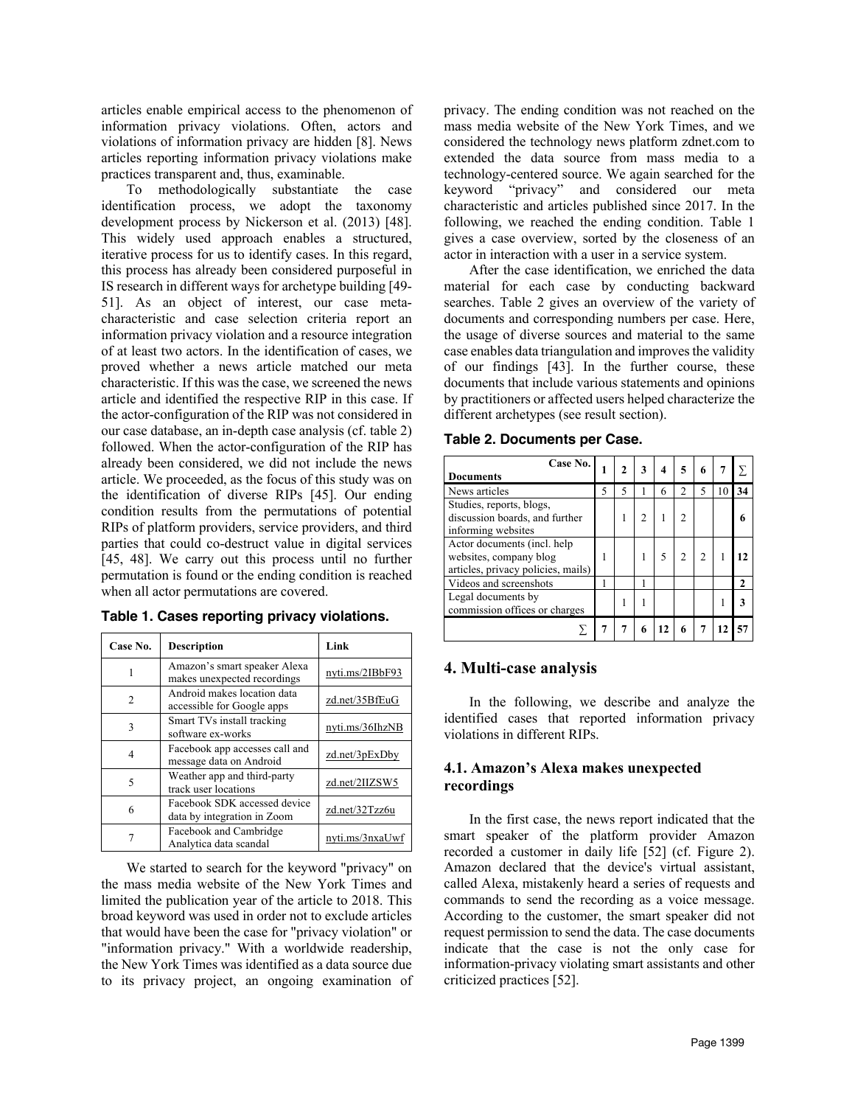articles enable empirical access to the phenomenon of information privacy violations. Often, actors and violations of information privacy are hidden [8]. News articles reporting information privacy violations make practices transparent and, thus, examinable.

To methodologically substantiate the case identification process, we adopt the taxonomy development process by Nickerson et al. (2013) [48]. This widely used approach enables a structured, iterative process for us to identify cases. In this regard, this process has already been considered purposeful in IS research in different ways for archetype building [49- 51]. As an object of interest, our case metacharacteristic and case selection criteria report an information privacy violation and a resource integration of at least two actors. In the identification of cases, we proved whether a news article matched our meta characteristic. If this was the case, we screened the news article and identified the respective RIP in this case. If the actor-configuration of the RIP was not considered in our case database, an in-depth case analysis (cf. table 2) followed. When the actor-configuration of the RIP has already been considered, we did not include the news article. We proceeded, as the focus of this study was on the identification of diverse RIPs [45]. Our ending condition results from the permutations of potential RIPs of platform providers, service providers, and third parties that could co-destruct value in digital services [45, 48]. We carry out this process until no further permutation is found or the ending condition is reached when all actor permutations are covered.

| Case No.      | Description                                                 | Link            |
|---------------|-------------------------------------------------------------|-----------------|
| 1             | Amazon's smart speaker Alexa<br>makes unexpected recordings | nyti.ms/2IBbF93 |
| $\mathcal{L}$ | Android makes location data<br>accessible for Google apps   | zd.net/35BfEuG  |
| 3             | Smart TVs install tracking<br>software ex-works             | nyti.ms/36IhzNB |
| 4             | Facebook app accesses call and<br>message data on Android   | zd.net/3pExDby  |
| 5             | Weather app and third-party<br>track user locations         | zd.net/2IIZSW5  |
| 6             | Facebook SDK accessed device<br>data by integration in Zoom | zd.net/32Tzz6u  |
|               | Facebook and Cambridge<br>Analytica data scandal            | nyti.ms/3nxaUwf |

**Table 1. Cases reporting privacy violations.** 

We started to search for the keyword "privacy" on the mass media website of the New York Times and limited the publication year of the article to 2018. This broad keyword was used in order not to exclude articles that would have been the case for "privacy violation" or "information privacy." With a worldwide readership, the New York Times was identified as a data source due to its privacy project, an ongoing examination of privacy. The ending condition was not reached on the mass media website of the New York Times, and we considered the technology news platform zdnet.com to extended the data source from mass media to a technology-centered source. We again searched for the keyword "privacy" and considered our meta characteristic and articles published since 2017. In the following, we reached the ending condition. Table 1 gives a case overview, sorted by the closeness of an actor in interaction with a user in a service system.

After the case identification, we enriched the data material for each case by conducting backward searches. Table 2 gives an overview of the variety of documents and corresponding numbers per case. Here, the usage of diverse sources and material to the same case enables data triangulation and improves the validity of our findings [43]. In the further course, these documents that include various statements and opinions by practitioners or affected users helped characterize the different archetypes (see result section).

|  | Table 2. Documents per Case. |  |
|--|------------------------------|--|
|--|------------------------------|--|

| Case No.<br><b>Documents</b>                                                                |  | 2 | 3 | 4 | 5              | 6 |    |
|---------------------------------------------------------------------------------------------|--|---|---|---|----------------|---|----|
| News articles                                                                               |  | 5 |   | 6 | $\overline{c}$ | 5 | 34 |
| Studies, reports, blogs,<br>discussion boards, and further<br>informing websites            |  |   |   |   |                |   |    |
| Actor documents (incl. help<br>websites, company blog<br>articles, privacy policies, mails) |  |   |   |   |                |   |    |
| Videos and screenshots                                                                      |  |   |   |   |                |   | 2  |
| Legal documents by<br>commission offices or charges                                         |  |   |   |   |                |   |    |
|                                                                                             |  |   |   |   | 6              |   |    |

### **4. Multi-case analysis**

In the following, we describe and analyze the identified cases that reported information privacy violations in different RIPs.

### **4.1. Amazon's Alexa makes unexpected recordings**

In the first case, the news report indicated that the smart speaker of the platform provider Amazon recorded a customer in daily life [52] (cf. Figure 2). Amazon declared that the device's virtual assistant, called Alexa, mistakenly heard a series of requests and commands to send the recording as a voice message. According to the customer, the smart speaker did not request permission to send the data. The case documents indicate that the case is not the only case for information-privacy violating smart assistants and other criticized practices [52].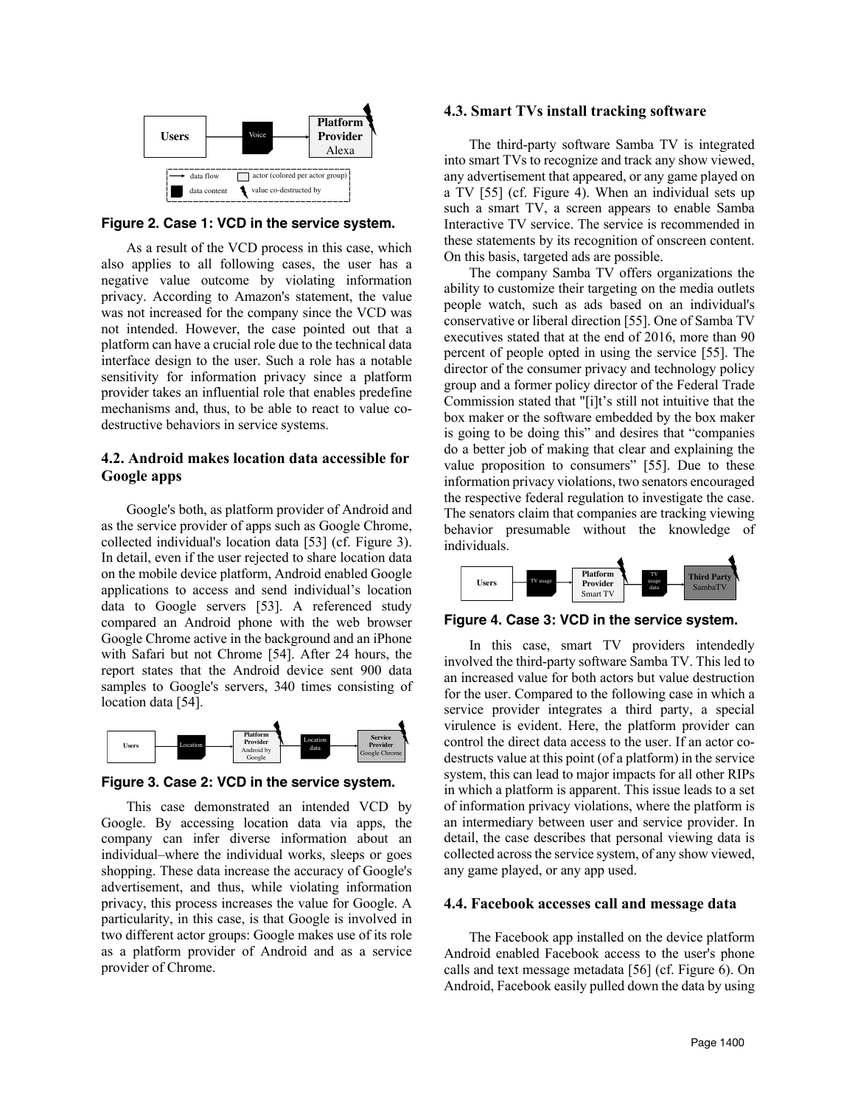

**Figure 2. Case 1: VCD in the service system.**

As a result of the VCD process in this case, which also applies to all following cases, the user has a negative value outcome by violating information privacy. According to Amazon's statement, the value was not increased for the company since the VCD was not intended. However, the case pointed out that a platform can have a crucial role due to the technical data interface design to the user. Such a role has a notable sensitivity for information privacy since a platform provider takes an influential role that enables predefine mechanisms and, thus, to be able to react to value codestructive behaviors in service systems.

## **4.2. Android makes location data accessible for Google apps**

Google's both, as platform provider of Android and as the service provider of apps such as Google Chrome, collected individual's location data [53] (cf. Figure 3). In detail, even if the user rejected to share location data on the mobile device platform, Android enabled Google applications to access and send individual's location data to Google servers [53]. A referenced study compared an Android phone with the web browser Google Chrome active in the background and an iPhone with Safari but not Chrome [54]. After 24 hours, the report states that the Android device sent 900 data samples to Google's servers, 340 times consisting of location data [54].



**Figure 3. Case 2: VCD in the service system.**

This case demonstrated an intended VCD by Google. By accessing location data via apps, the company can infer diverse information about an individual–where the individual works, sleeps or goes shopping. These data increase the accuracy of Google's advertisement, and thus, while violating information privacy, this process increases the value for Google. A particularity, in this case, is that Google is involved in two different actor groups: Google makes use of its role as a platform provider of Android and as a service provider of Chrome.

#### **4.3. Smart TVs install tracking software**

The third-party software Samba TV is integrated into smart TVs to recognize and track any show viewed, any advertisement that appeared, or any game played on a TV [55] (cf. Figure 4). When an individual sets up such a smart TV, a screen appears to enable Samba Interactive TV service. The service is recommended in these statements by its recognition of onscreen content. On this basis, targeted ads are possible.

The company Samba TV offers organizations the ability to customize their targeting on the media outlets people watch, such as ads based on an individual's conservative or liberal direction [55]. One of Samba TV executives stated that at the end of 2016, more than 90 percent of people opted in using the service [55]. The director of the consumer privacy and technology policy group and a former policy director of the Federal Trade Commission stated that "[i]t's still not intuitive that the box maker or the software embedded by the box maker is going to be doing this" and desires that "companies do a better job of making that clear and explaining the value proposition to consumers" [55]. Due to these information privacy violations, two senators encouraged the respective federal regulation to investigate the case. The senators claim that companies are tracking viewing behavior presumable without the knowledge of individuals.



**Figure 4. Case 3: VCD in the service system.**

In this case, smart TV providers intendedly involved the third-party software Samba TV. This led to an increased value for both actors but value destruction for the user. Compared to the following case in which a service provider integrates a third party, a special virulence is evident. Here, the platform provider can control the direct data access to the user. If an actor codestructs value at this point (of a platform) in the service system, this can lead to major impacts for all other RIPs in which a platform is apparent. This issue leads to a set of information privacy violations, where the platform is an intermediary between user and service provider. In detail, the case describes that personal viewing data is collected across the service system, of any show viewed, any game played, or any app used.

#### **4.4. Facebook accesses call and message data**

The Facebook app installed on the device platform Android enabled Facebook access to the user's phone calls and text message metadata [56] (cf. Figure 6). On Android, Facebook easily pulled down the data by using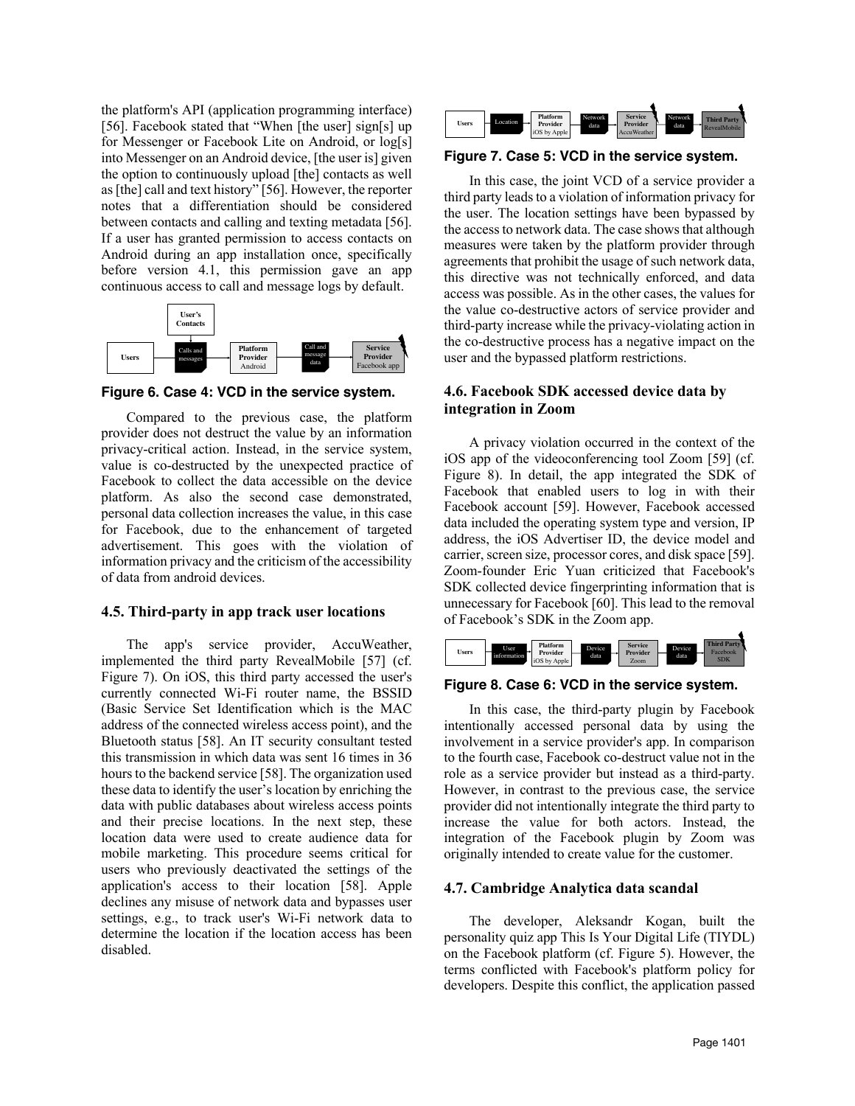the platform's API (application programming interface) [56]. Facebook stated that "When [the user] sign[s] up for Messenger or Facebook Lite on Android, or log[s] into Messenger on an Android device, [the user is] given the option to continuously upload [the] contacts as well as [the] call and text history" [56]. However, the reporter notes that a differentiation should be considered between contacts and calling and texting metadata [56]. If a user has granted permission to access contacts on Android during an app installation once, specifically before version 4.1, this permission gave an app continuous access to call and message logs by default.



**Figure 6. Case 4: VCD in the service system.**

Compared to the previous case, the platform provider does not destruct the value by an information privacy-critical action. Instead, in the service system, value is co-destructed by the unexpected practice of Facebook to collect the data accessible on the device platform. As also the second case demonstrated, personal data collection increases the value, in this case for Facebook, due to the enhancement of targeted advertisement. This goes with the violation of information privacy and the criticism of the accessibility of data from android devices.

### **4.5. Third-party in app track user locations**

The app's service provider, AccuWeather, implemented the third party RevealMobile [57] (cf. Figure 7). On iOS, this third party accessed the user's currently connected Wi-Fi router name, the BSSID (Basic Service Set Identification which is the MAC address of the connected wireless access point), and the Bluetooth status [58]. An IT security consultant tested this transmission in which data was sent 16 times in 36 hours to the backend service [58]. The organization used these data to identify the user's location by enriching the data with public databases about wireless access points and their precise locations. In the next step, these location data were used to create audience data for mobile marketing. This procedure seems critical for users who previously deactivated the settings of the application's access to their location [58]. Apple declines any misuse of network data and bypasses user settings, e.g., to track user's Wi-Fi network data to determine the location if the location access has been disabled.



**Figure 7. Case 5: VCD in the service system.**

In this case, the joint VCD of a service provider a third party leads to a violation of information privacy for the user. The location settings have been bypassed by the access to network data. The case shows that although measures were taken by the platform provider through agreements that prohibit the usage of such network data, this directive was not technically enforced, and data access was possible. As in the other cases, the values for the value co-destructive actors of service provider and third-party increase while the privacy-violating action in the co-destructive process has a negative impact on the user and the bypassed platform restrictions.

## **4.6. Facebook SDK accessed device data by integration in Zoom**

A privacy violation occurred in the context of the iOS app of the videoconferencing tool Zoom [59] (cf. Figure 8). In detail, the app integrated the SDK of Facebook that enabled users to log in with their Facebook account [59]. However, Facebook accessed data included the operating system type and version, IP address, the iOS Advertiser ID, the device model and carrier, screen size, processor cores, and disk space [59]. Zoom-founder Eric Yuan criticized that Facebook's SDK collected device fingerprinting information that is unnecessary for Facebook [60]. This lead to the removal of Facebook's SDK in the Zoom app.



### **Figure 8. Case 6: VCD in the service system.**

In this case, the third-party plugin by Facebook intentionally accessed personal data by using the involvement in a service provider's app. In comparison to the fourth case, Facebook co-destruct value not in the role as a service provider but instead as a third-party. However, in contrast to the previous case, the service provider did not intentionally integrate the third party to increase the value for both actors. Instead, the integration of the Facebook plugin by Zoom was originally intended to create value for the customer.

### **4.7. Cambridge Analytica data scandal**

The developer, Aleksandr Kogan, built the personality quiz app This Is Your Digital Life (TIYDL) on the Facebook platform (cf. Figure 5). However, the terms conflicted with Facebook's platform policy for developers. Despite this conflict, the application passed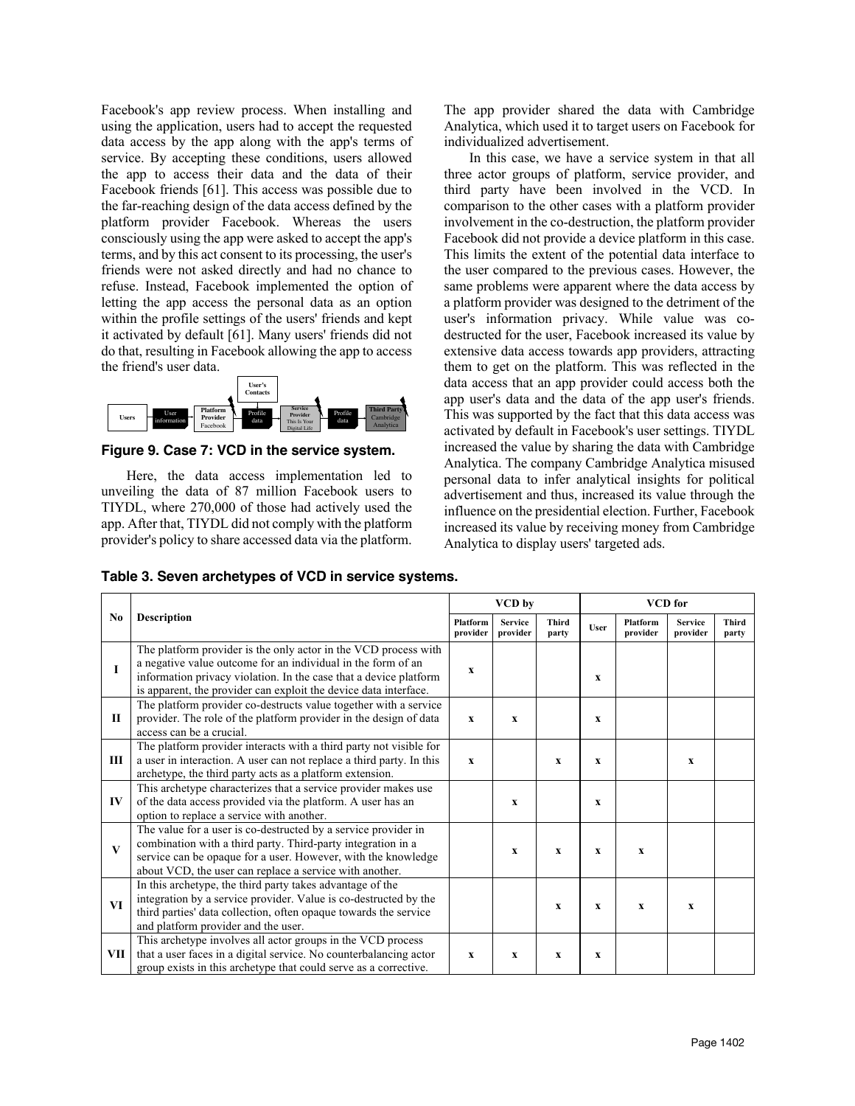Facebook's app review process. When installing and using the application, users had to accept the requested data access by the app along with the app's terms of service. By accepting these conditions, users allowed the app to access their data and the data of their Facebook friends [61]. This access was possible due to the far-reaching design of the data access defined by the platform provider Facebook. Whereas the users consciously using the app were asked to accept the app's terms, and by this act consent to its processing, the user's friends were not asked directly and had no chance to refuse. Instead, Facebook implemented the option of letting the app access the personal data as an option within the profile settings of the users' friends and kept it activated by default [61]. Many users' friends did not do that, resulting in Facebook allowing the app to access the friend's user data.



**Figure 9. Case 7: VCD in the service system.**

Here, the data access implementation led to unveiling the data of 87 million Facebook users to TIYDL, where 270,000 of those had actively used the app. After that, TIYDL did not comply with the platform provider's policy to share accessed data via the platform. The app provider shared the data with Cambridge Analytica, which used it to target users on Facebook for individualized advertisement.

In this case, we have a service system in that all three actor groups of platform, service provider, and third party have been involved in the VCD. In comparison to the other cases with a platform provider involvement in the co-destruction, the platform provider Facebook did not provide a device platform in this case. This limits the extent of the potential data interface to the user compared to the previous cases. However, the same problems were apparent where the data access by a platform provider was designed to the detriment of the user's information privacy. While value was codestructed for the user, Facebook increased its value by extensive data access towards app providers, attracting them to get on the platform. This was reflected in the data access that an app provider could access both the app user's data and the data of the app user's friends. This was supported by the fact that this data access was activated by default in Facebook's user settings. TIYDL increased the value by sharing the data with Cambridge Analytica. The company Cambridge Analytica misused personal data to infer analytical insights for political advertisement and thus, increased its value through the influence on the presidential election. Further, Facebook increased its value by receiving money from Cambridge Analytica to display users' targeted ads.

|  | Table 3. Seven archetypes of VCD in service systems. |  |  |
|--|------------------------------------------------------|--|--|
|--|------------------------------------------------------|--|--|

|                | <b>Description</b>                                                                                                                                                                                                                                                       | VCD by                      |                            |                       | <b>VCD</b> for |                      |                            |                       |  |
|----------------|--------------------------------------------------------------------------------------------------------------------------------------------------------------------------------------------------------------------------------------------------------------------------|-----------------------------|----------------------------|-----------------------|----------------|----------------------|----------------------------|-----------------------|--|
| N <sub>0</sub> |                                                                                                                                                                                                                                                                          | <b>Platform</b><br>provider | <b>Service</b><br>provider | <b>Third</b><br>party | User           | Platform<br>provider | <b>Service</b><br>provider | <b>Third</b><br>party |  |
|                | The platform provider is the only actor in the VCD process with<br>a negative value outcome for an individual in the form of an<br>information privacy violation. In the case that a device platform<br>is apparent, the provider can exploit the device data interface. | $\mathbf x$                 |                            |                       | $\mathbf x$    |                      |                            |                       |  |
| П              | The platform provider co-destructs value together with a service<br>provider. The role of the platform provider in the design of data<br>access can be a crucial.                                                                                                        | $\mathbf x$                 | $\mathbf{x}$               |                       | $\mathbf x$    |                      |                            |                       |  |
| Ш              | The platform provider interacts with a third party not visible for<br>a user in interaction. A user can not replace a third party. In this<br>archetype, the third party acts as a platform extension.                                                                   | $\mathbf{x}$                |                            | X                     | X              |                      | $\mathbf x$                |                       |  |
| $\bf{IV}$      | This archetype characterizes that a service provider makes use<br>of the data access provided via the platform. A user has an<br>option to replace a service with another.                                                                                               |                             | $\mathbf{x}$               |                       | X              |                      |                            |                       |  |
| $\mathbf{V}$   | The value for a user is co-destructed by a service provider in<br>combination with a third party. Third-party integration in a<br>service can be opaque for a user. However, with the knowledge<br>about VCD, the user can replace a service with another.               |                             | $\mathbf{x}$               | $\mathbf x$           | $\mathbf x$    | $\mathbf x$          |                            |                       |  |
| VI             | In this archetype, the third party takes advantage of the<br>integration by a service provider. Value is co-destructed by the<br>third parties' data collection, often opaque towards the service<br>and platform provider and the user.                                 |                             |                            | $\mathbf x$           | X              | $\mathbf{x}$         | $\mathbf x$                |                       |  |
| VШ             | This archetype involves all actor groups in the VCD process<br>that a user faces in a digital service. No counterbalancing actor<br>group exists in this archetype that could serve as a corrective.                                                                     | $\mathbf x$                 | X                          | $\mathbf x$           | X              |                      |                            |                       |  |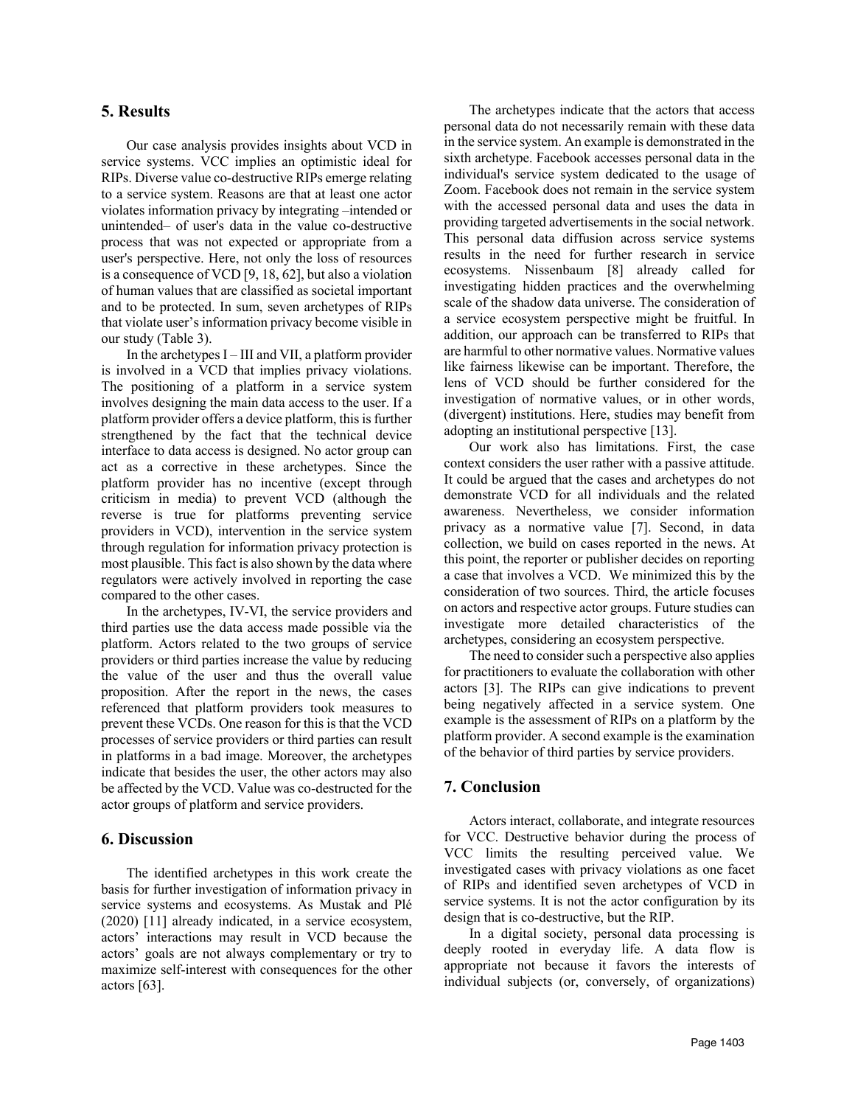### **5. Results**

Our case analysis provides insights about VCD in service systems. VCC implies an optimistic ideal for RIPs. Diverse value co-destructive RIPs emerge relating to a service system. Reasons are that at least one actor violates information privacy by integrating –intended or unintended– of user's data in the value co-destructive process that was not expected or appropriate from a user's perspective. Here, not only the loss of resources is a consequence of VCD [9, 18, 62], but also a violation of human values that are classified as societal important and to be protected. In sum, seven archetypes of RIPs that violate user's information privacy become visible in our study (Table 3).

In the archetypes  $I$  – III and VII, a platform provider is involved in a VCD that implies privacy violations. The positioning of a platform in a service system involves designing the main data access to the user. If a platform provider offers a device platform, this is further strengthened by the fact that the technical device interface to data access is designed. No actor group can act as a corrective in these archetypes. Since the platform provider has no incentive (except through criticism in media) to prevent VCD (although the reverse is true for platforms preventing service providers in VCD), intervention in the service system through regulation for information privacy protection is most plausible. This fact is also shown by the data where regulators were actively involved in reporting the case compared to the other cases.

In the archetypes, IV-VI, the service providers and third parties use the data access made possible via the platform. Actors related to the two groups of service providers or third parties increase the value by reducing the value of the user and thus the overall value proposition. After the report in the news, the cases referenced that platform providers took measures to prevent these VCDs. One reason for this is that the VCD processes of service providers or third parties can result in platforms in a bad image. Moreover, the archetypes indicate that besides the user, the other actors may also be affected by the VCD. Value was co-destructed for the actor groups of platform and service providers.

### **6. Discussion**

The identified archetypes in this work create the basis for further investigation of information privacy in service systems and ecosystems. As Mustak and Plé (2020) [11] already indicated, in a service ecosystem, actors' interactions may result in VCD because the actors' goals are not always complementary or try to maximize self-interest with consequences for the other actors [63].

The archetypes indicate that the actors that access personal data do not necessarily remain with these data in the service system. An example is demonstrated in the sixth archetype. Facebook accesses personal data in the individual's service system dedicated to the usage of Zoom. Facebook does not remain in the service system with the accessed personal data and uses the data in providing targeted advertisements in the social network. This personal data diffusion across service systems results in the need for further research in service ecosystems. Nissenbaum [8] already called for investigating hidden practices and the overwhelming scale of the shadow data universe. The consideration of a service ecosystem perspective might be fruitful. In addition, our approach can be transferred to RIPs that are harmful to other normative values. Normative values like fairness likewise can be important. Therefore, the lens of VCD should be further considered for the investigation of normative values, or in other words, (divergent) institutions. Here, studies may benefit from adopting an institutional perspective [13].

Our work also has limitations. First, the case context considers the user rather with a passive attitude. It could be argued that the cases and archetypes do not demonstrate VCD for all individuals and the related awareness. Nevertheless, we consider information privacy as a normative value [7]. Second, in data collection, we build on cases reported in the news. At this point, the reporter or publisher decides on reporting a case that involves a VCD. We minimized this by the consideration of two sources. Third, the article focuses on actors and respective actor groups. Future studies can investigate more detailed characteristics of the archetypes, considering an ecosystem perspective.

The need to consider such a perspective also applies for practitioners to evaluate the collaboration with other actors [3]. The RIPs can give indications to prevent being negatively affected in a service system. One example is the assessment of RIPs on a platform by the platform provider. A second example is the examination of the behavior of third parties by service providers.

### **7. Conclusion**

Actors interact, collaborate, and integrate resources for VCC. Destructive behavior during the process of VCC limits the resulting perceived value. We investigated cases with privacy violations as one facet of RIPs and identified seven archetypes of VCD in service systems. It is not the actor configuration by its design that is co-destructive, but the RIP.

In a digital society, personal data processing is deeply rooted in everyday life. A data flow is appropriate not because it favors the interests of individual subjects (or, conversely, of organizations)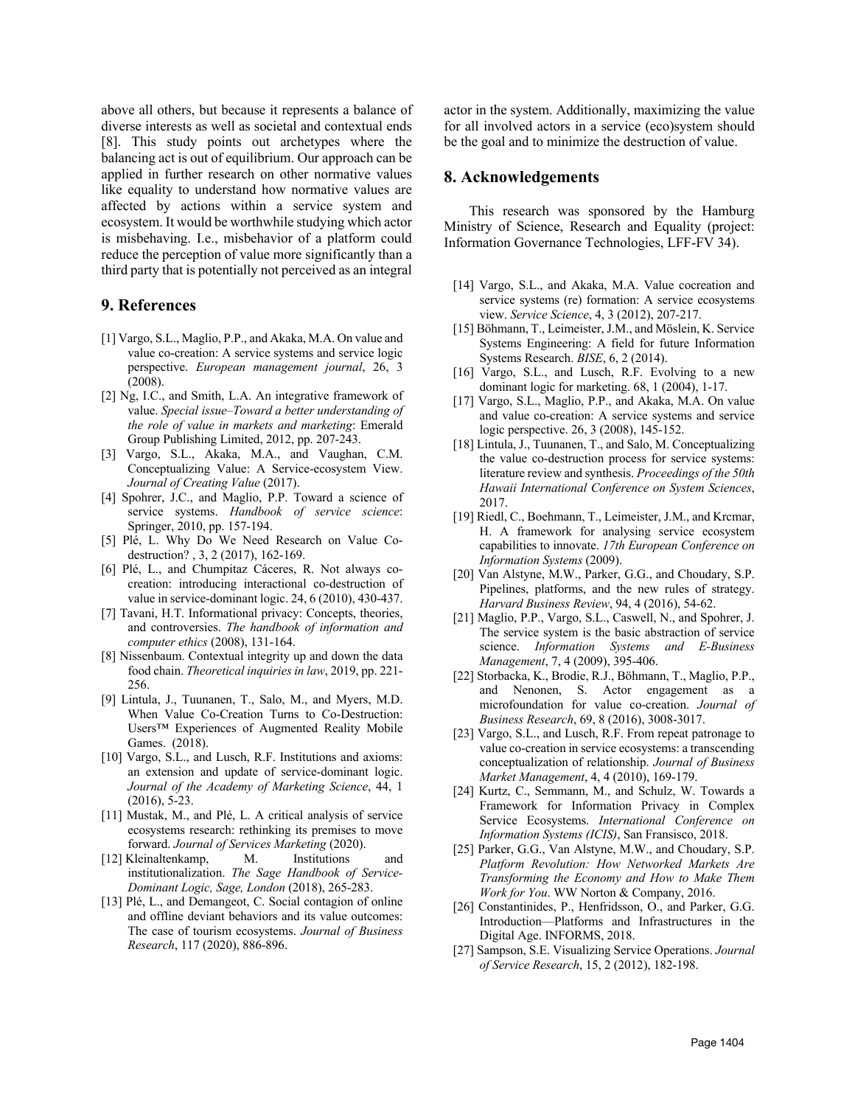above all others, but because it represents a balance of diverse interests as well as societal and contextual ends [8]. This study points out archetypes where the balancing act is out of equilibrium. Our approach can be applied in further research on other normative values like equality to understand how normative values are affected by actions within a service system and ecosystem. It would be worthwhile studying which actor is misbehaving. I.e., misbehavior of a platform could reduce the perception of value more significantly than a third party that is potentially not perceived as an integral

### **9. References**

- [1] Vargo, S.L., Maglio, P.P., and Akaka, M.A. On value and value co-creation: A service systems and service logic perspective. *European management journal*, 26, 3 (2008).
- [2] Ng, I.C., and Smith, L.A. An integrative framework of value. *Special issue–Toward a better understanding of the role of value in markets and marketing*: Emerald Group Publishing Limited, 2012, pp. 207-243.
- [3] Vargo, S.L., Akaka, M.A., and Vaughan, C.M. Conceptualizing Value: A Service-ecosystem View. *Journal of Creating Value* (2017).
- [4] Spohrer, J.C., and Maglio, P.P. Toward a science of service systems. *Handbook of service science*: Springer, 2010, pp. 157-194.
- [5] Plé, L. Why Do We Need Research on Value Codestruction? , 3, 2 (2017), 162-169.
- [6] Plé, L., and Chumpitaz Cáceres, R. Not always cocreation: introducing interactional co-destruction of value in service-dominant logic. 24, 6 (2010), 430-437.
- [7] Tavani, H.T. Informational privacy: Concepts, theories, and controversies. *The handbook of information and computer ethics* (2008), 131-164.
- [8] Nissenbaum. Contextual integrity up and down the data food chain. *Theoretical inquiries in law*, 2019, pp. 221- 256.
- [9] Lintula, J., Tuunanen, T., Salo, M., and Myers, M.D. When Value Co-Creation Turns to Co-Destruction: Users™ Experiences of Augmented Reality Mobile Games. (2018).
- [10] Vargo, S.L., and Lusch, R.F. Institutions and axioms: an extension and update of service-dominant logic. *Journal of the Academy of Marketing Science*, 44, 1 (2016), 5-23.
- [11] Mustak, M., and Plé, L. A critical analysis of service ecosystems research: rethinking its premises to move forward. *Journal of Services Marketing* (2020).
- [12]. Kleinaltenkamp, M. Institutions and institutionalization. *The Sage Handbook of Service-Dominant Logic, Sage, London* (2018), 265-283.
- [13] Plé, L., and Demangeot, C. Social contagion of online and offline deviant behaviors and its value outcomes: The case of tourism ecosystems. *Journal of Business Research*, 117 (2020), 886-896.

actor in the system. Additionally, maximizing the value for all involved actors in a service (eco)system should be the goal and to minimize the destruction of value.

### **8. Acknowledgements**

This research was sponsored by the Hamburg Ministry of Science, Research and Equality (project: Information Governance Technologies, LFF-FV 34).

- [14] Vargo, S.L., and Akaka, M.A. Value cocreation and service systems (re) formation: A service ecosystems view. *Service Science*, 4, 3 (2012), 207-217.
- [15] Böhmann, T., Leimeister, J.M., and Möslein, K. Service Systems Engineering: A field for future Information Systems Research. *BISE*, 6, 2 (2014).
- [16] Vargo, S.L., and Lusch, R.F. Evolving to a new dominant logic for marketing. 68, 1 (2004), 1-17.
- [17] Vargo, S.L., Maglio, P.P., and Akaka, M.A. On value and value co-creation: A service systems and service logic perspective. 26, 3 (2008), 145-152.
- [18] Lintula, J., Tuunanen, T., and Salo, M. Conceptualizing the value co-destruction process for service systems: literature review and synthesis. *Proceedings of the 50th Hawaii International Conference on System Sciences*, 2017.
- [19] Riedl, C., Boehmann, T., Leimeister, J.M., and Krcmar, H. A framework for analysing service ecosystem capabilities to innovate. *17th European Conference on Information Systems* (2009).
- [20] Van Alstyne, M.W., Parker, G.G., and Choudary, S.P. Pipelines, platforms, and the new rules of strategy. *Harvard Business Review*, 94, 4 (2016), 54-62.
- [21] Maglio, P.P., Vargo, S.L., Caswell, N., and Spohrer, J. The service system is the basic abstraction of service science. *Information Systems and E-Business Management*, 7, 4 (2009), 395-406.
- [22] Storbacka, K., Brodie, R.J., Böhmann, T., Maglio, P.P., and Nenonen, S. Actor engagement as a microfoundation for value co-creation. *Journal of Business Research*, 69, 8 (2016), 3008-3017.
- [23] Vargo, S.L., and Lusch, R.F. From repeat patronage to value co-creation in service ecosystems: a transcending conceptualization of relationship. *Journal of Business Market Management*, 4, 4 (2010), 169-179.
- [24] Kurtz, C., Semmann, M., and Schulz, W. Towards a Framework for Information Privacy in Complex Service Ecosystems. *International Conference on Information Systems (ICIS)*, San Fransisco, 2018.
- [25] Parker, G.G., Van Alstyne, M.W., and Choudary, S.P. *Platform Revolution: How Networked Markets Are Transforming the Economy and How to Make Them Work for You*. WW Norton & Company, 2016.
- [26] Constantinides, P., Henfridsson, O., and Parker, G.G. Introduction—Platforms and Infrastructures in the Digital Age. INFORMS, 2018.
- [27] Sampson, S.E. Visualizing Service Operations. *Journal of Service Research*, 15, 2 (2012), 182-198.